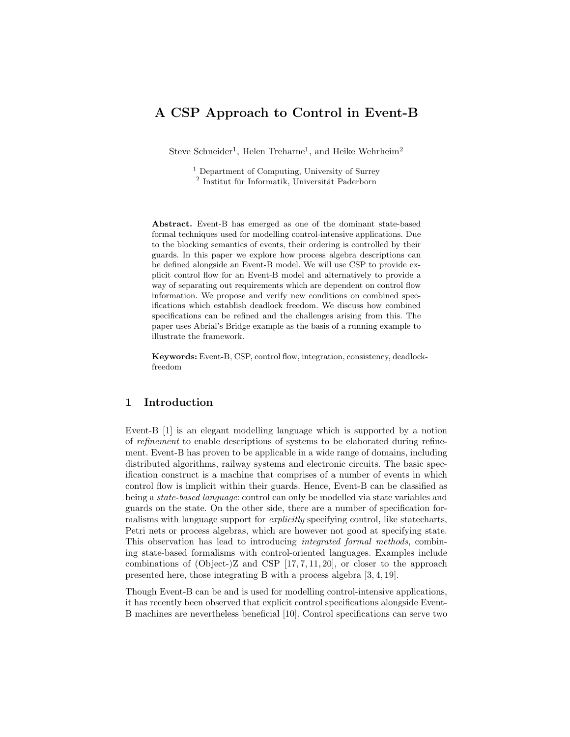# A CSP Approach to Control in Event-B

Steve Schneider<sup>1</sup>, Helen Treharne<sup>1</sup>, and Heike Wehrheim<sup>2</sup>

<sup>1</sup> Department of Computing, University of Surrey <sup>2</sup> Institut für Informatik, Universität Paderborn

Abstract. Event-B has emerged as one of the dominant state-based formal techniques used for modelling control-intensive applications. Due to the blocking semantics of events, their ordering is controlled by their guards. In this paper we explore how process algebra descriptions can be defined alongside an Event-B model. We will use CSP to provide explicit control flow for an Event-B model and alternatively to provide a way of separating out requirements which are dependent on control flow information. We propose and verify new conditions on combined specifications which establish deadlock freedom. We discuss how combined specifications can be refined and the challenges arising from this. The paper uses Abrial's Bridge example as the basis of a running example to illustrate the framework.

Keywords: Event-B, CSP, control flow, integration, consistency, deadlockfreedom

### 1 Introduction

Event-B [1] is an elegant modelling language which is supported by a notion of refinement to enable descriptions of systems to be elaborated during refinement. Event-B has proven to be applicable in a wide range of domains, including distributed algorithms, railway systems and electronic circuits. The basic specification construct is a machine that comprises of a number of events in which control flow is implicit within their guards. Hence, Event-B can be classified as being a state-based language: control can only be modelled via state variables and guards on the state. On the other side, there are a number of specification formalisms with language support for *explicitly* specifying control, like statecharts, Petri nets or process algebras, which are however not good at specifying state. This observation has lead to introducing integrated formal methods, combining state-based formalisms with control-oriented languages. Examples include combinations of  $(Object-)Z$  and CSP  $[17, 7, 11, 20]$ , or closer to the approach presented here, those integrating B with a process algebra [3, 4, 19].

Though Event-B can be and is used for modelling control-intensive applications, it has recently been observed that explicit control specifications alongside Event-B machines are nevertheless beneficial [10]. Control specifications can serve two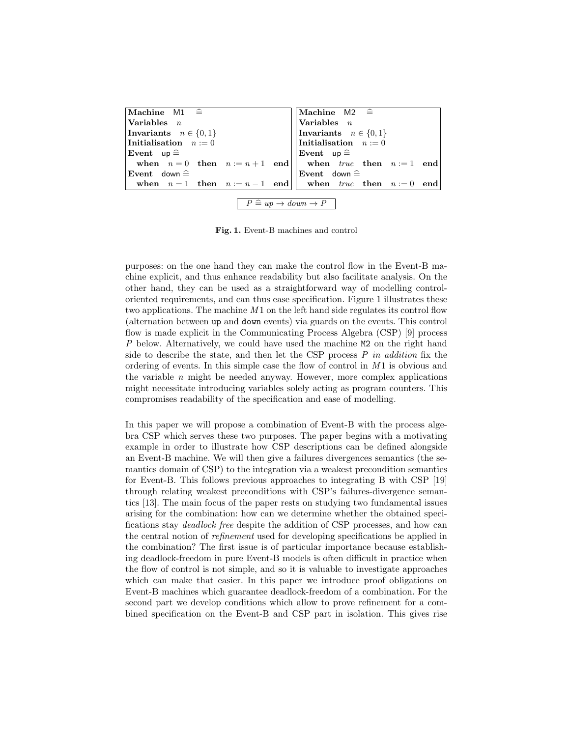| Machine M1 $\hat{=}$                                   | Machine $M2 \hat{\equiv}$                    |
|--------------------------------------------------------|----------------------------------------------|
| $\sqrt{\frac{1}{n}}$ Variables n                       |                                              |
| Invariants $n \in \{0,1\}$                             | Variables $n$<br>Invariants $n \in \{0, 1\}$ |
| Initialisation $n := 0$                                | Initialisation $n := 0$                      |
| Event up $\hat{=}$                                     | Event $up \hat{=}$                           |
| when $n=0$ then $n:=n+1$ end when true then $n:=1$ end |                                              |
| $\mathbf{Event}$ down $\widehat{=}$                    | ${\bf Event\quad down}\; \widehat{=}\;$      |
| when $n=1$ then $n:=n-1$ end when true then $n:=0$ end |                                              |
|                                                        |                                              |
| $P \cong up \rightarrow down \rightarrow P$            |                                              |

Fig. 1. Event-B machines and control

purposes: on the one hand they can make the control flow in the Event-B machine explicit, and thus enhance readability but also facilitate analysis. On the other hand, they can be used as a straightforward way of modelling controloriented requirements, and can thus ease specification. Figure 1 illustrates these two applications. The machine  $M1$  on the left hand side regulates its control flow (alternation between up and down events) via guards on the events. This control flow is made explicit in the Communicating Process Algebra (CSP) [9] process P below. Alternatively, we could have used the machine M2 on the right hand side to describe the state, and then let the CSP process  $P$  in addition fix the ordering of events. In this simple case the flow of control in  $M1$  is obvious and the variable  $n$  might be needed anyway. However, more complex applications might necessitate introducing variables solely acting as program counters. This compromises readability of the specification and ease of modelling.

In this paper we will propose a combination of Event-B with the process algebra CSP which serves these two purposes. The paper begins with a motivating example in order to illustrate how CSP descriptions can be defined alongside an Event-B machine. We will then give a failures divergences semantics (the semantics domain of CSP) to the integration via a weakest precondition semantics for Event-B. This follows previous approaches to integrating B with CSP [19] through relating weakest preconditions with CSP's failures-divergence semantics [13]. The main focus of the paper rests on studying two fundamental issues arising for the combination: how can we determine whether the obtained specifications stay deadlock free despite the addition of CSP processes, and how can the central notion of refinement used for developing specifications be applied in the combination? The first issue is of particular importance because establishing deadlock-freedom in pure Event-B models is often difficult in practice when the flow of control is not simple, and so it is valuable to investigate approaches which can make that easier. In this paper we introduce proof obligations on Event-B machines which guarantee deadlock-freedom of a combination. For the second part we develop conditions which allow to prove refinement for a combined specification on the Event-B and CSP part in isolation. This gives rise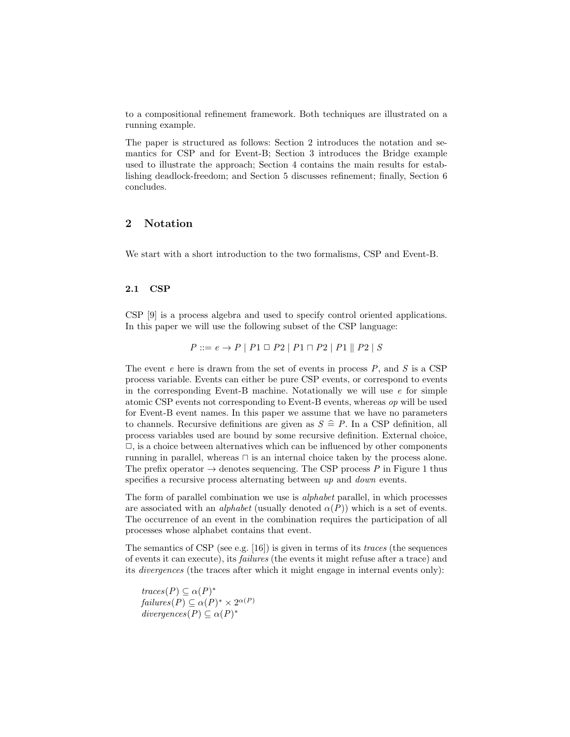to a compositional refinement framework. Both techniques are illustrated on a running example.

The paper is structured as follows: Section 2 introduces the notation and semantics for CSP and for Event-B; Section 3 introduces the Bridge example used to illustrate the approach; Section 4 contains the main results for establishing deadlock-freedom; and Section 5 discusses refinement; finally, Section 6 concludes.

# 2 Notation

We start with a short introduction to the two formalisms, CSP and Event-B.

## 2.1 CSP

CSP [9] is a process algebra and used to specify control oriented applications. In this paper we will use the following subset of the CSP language:

$$
P ::= e \rightarrow P | P1 \sqcup P2 | P1 \sqcap P2 | P1 || P2 | S
$$

The event  $e$  here is drawn from the set of events in process  $P$ , and  $S$  is a CSP process variable. Events can either be pure CSP events, or correspond to events in the corresponding Event-B machine. Notationally we will use  $e$  for simple atomic CSP events not corresponding to Event-B events, whereas op will be used for Event-B event names. In this paper we assume that we have no parameters to channels. Recursive definitions are given as  $S \hat{=} P$ . In a CSP definition, all process variables used are bound by some recursive definition. External choice,  $\Box$ , is a choice between alternatives which can be influenced by other components running in parallel, whereas ⊓ is an internal choice taken by the process alone. The prefix operator  $\rightarrow$  denotes sequencing. The CSP process P in Figure 1 thus specifies a recursive process alternating between up and *down* events.

The form of parallel combination we use is alphabet parallel, in which processes are associated with an *alphabet* (usually denoted  $\alpha(P)$ ) which is a set of events. The occurrence of an event in the combination requires the participation of all processes whose alphabet contains that event.

The semantics of CSP (see e.g. [16]) is given in terms of its traces (the sequences of events it can execute), its failures (the events it might refuse after a trace) and its divergences (the traces after which it might engage in internal events only):

 $traces(P) \subseteq \alpha(P)^*$  $failures(P) \subseteq \alpha(P)^* \times 2^{\alpha(P)}$  $divergences(P) \subseteq \alpha(P)^*$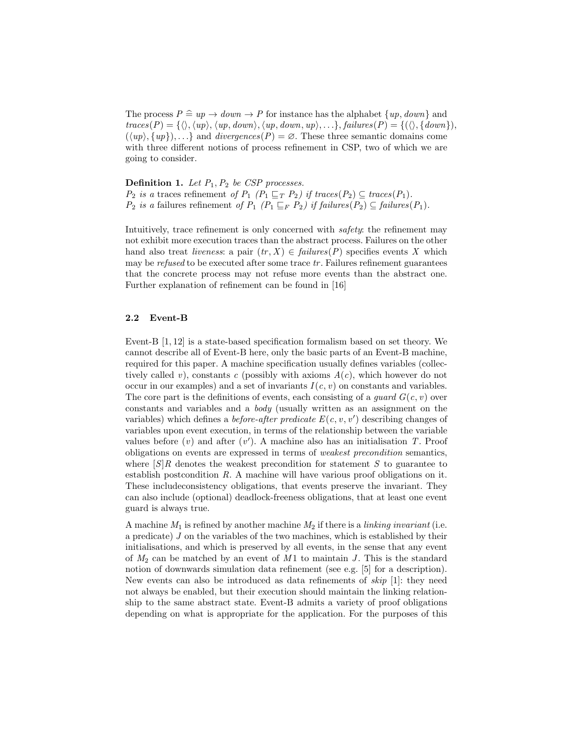The process  $P \nightharpoonup up \rightarrow down \rightarrow P$  for instance has the alphabet  $\{up, down\}$  and  $traces(P) = {\langle \langle \rangle, \langle up \rangle, \langle up, down \rangle, \langle up, down, up \rangle, \ldots}, failures(P) = {\langle \langle \rangle, \{down\}},$  $({\langle up \rangle}, {\{ up \}}), \ldots$  and *divergences*( $P$ ) =  $\varnothing$ . These three semantic domains come with three different notions of process refinement in CSP, two of which we are going to consider.

**Definition 1.** Let  $P_1, P_2$  be CSP processes.  $P_2$  is a traces refinement of  $P_1$  ( $P_1 \sqsubseteq_T P_2$ ) if traces( $P_2$ )  $\subseteq$  traces( $P_1$ ).  $P_2$  is a failures refinement of  $P_1$  ( $P_1 \sqsubseteq_F P_2$ ) if failures( $P_2$ )  $\subseteq$  failures( $P_1$ ).

Intuitively, trace refinement is only concerned with safety: the refinement may not exhibit more execution traces than the abstract process. Failures on the other hand also treat liveness: a pair  $(tr, X) \in failures(P)$  specifies events X which may be *refused* to be executed after some trace  $tr$ . Failures refinement guarantees that the concrete process may not refuse more events than the abstract one. Further explanation of refinement can be found in [16]

#### 2.2 Event-B

Event-B [1, 12] is a state-based specification formalism based on set theory. We cannot describe all of Event-B here, only the basic parts of an Event-B machine, required for this paper. A machine specification usually defines variables (collectively called v), constants c (possibly with axioms  $A(c)$ , which however do not occur in our examples) and a set of invariants  $I(c, v)$  on constants and variables. The core part is the definitions of events, each consisting of a *guard*  $G(c, v)$  over constants and variables and a body (usually written as an assignment on the variables) which defines a *before-after predicate*  $E(c, v, v')$  describing changes of variables upon event execution, in terms of the relationship between the variable values before  $(v)$  and after  $(v')$ . A machine also has an initialisation T. Proof obligations on events are expressed in terms of weakest precondition semantics, where  $[S]R$  denotes the weakest precondition for statement S to guarantee to establish postcondition R. A machine will have various proof obligations on it. These includeconsistency obligations, that events preserve the invariant. They can also include (optional) deadlock-freeness obligations, that at least one event guard is always true.

A machine  $M_1$  is refined by another machine  $M_2$  if there is a *linking invariant* (i.e. a predicate) J on the variables of the two machines, which is established by their initialisations, and which is preserved by all events, in the sense that any event of  $M_2$  can be matched by an event of  $M_1$  to maintain J. This is the standard notion of downwards simulation data refinement (see e.g. [5] for a description). New events can also be introduced as data refinements of skip [1]: they need not always be enabled, but their execution should maintain the linking relationship to the same abstract state. Event-B admits a variety of proof obligations depending on what is appropriate for the application. For the purposes of this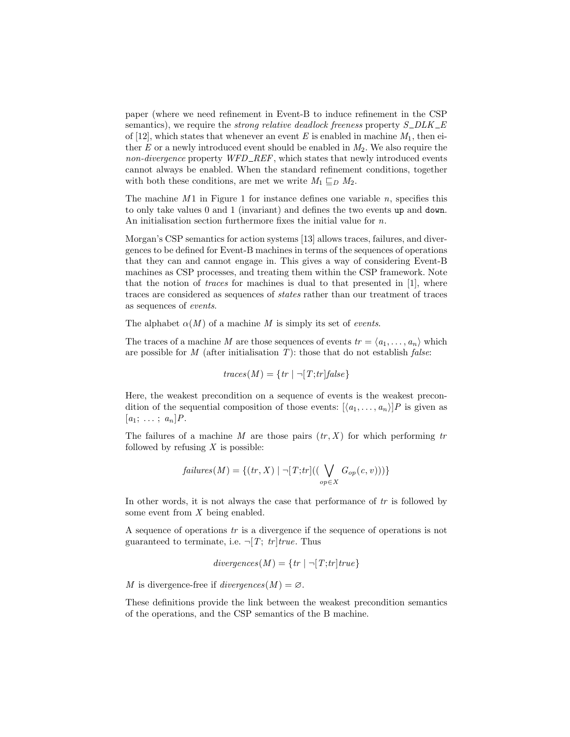paper (where we need refinement in Event-B to induce refinement in the CSP semantics), we require the *strong relative deadlock freeness* property  $S$ <sub>-</sub>DLK<sub>-</sub> $E$ of [12], which states that whenever an event E is enabled in machine  $M_1$ , then either  $E$  or a newly introduced event should be enabled in  $M_2$ . We also require the non-divergence property WFD\_REF, which states that newly introduced events cannot always be enabled. When the standard refinement conditions, together with both these conditions, are met we write  $M_1 \sqsubseteq_D M_2$ .

The machine  $M1$  in Figure 1 for instance defines one variable n, specifies this to only take values 0 and 1 (invariant) and defines the two events up and down. An initialisation section furthermore fixes the initial value for n.

Morgan's CSP semantics for action systems [13] allows traces, failures, and divergences to be defined for Event-B machines in terms of the sequences of operations that they can and cannot engage in. This gives a way of considering Event-B machines as CSP processes, and treating them within the CSP framework. Note that the notion of traces for machines is dual to that presented in [1], where traces are considered as sequences of states rather than our treatment of traces as sequences of events.

The alphabet  $\alpha(M)$  of a machine M is simply its set of *events*.

The traces of a machine M are those sequences of events  $tr = \langle a_1, \ldots, a_n \rangle$  which are possible for  $M$  (after initialisation  $T$ ): those that do not establish *false*:

$$
traces(M) = \{ tr \mid \neg [T; tr] \text{false} \}
$$

Here, the weakest precondition on a sequence of events is the weakest precondition of the sequential composition of those events:  $[\langle a_1, \ldots, a_n \rangle]P$  is given as  $[a_1; \ldots; a_n]P.$ 

The failures of a machine M are those pairs  $(tr, X)$  for which performing tr followed by refusing  $X$  is possible:

$$
failures(M) = \{(tr, X) \mid \neg [T; tr]((\bigvee_{op \in X} G_{op}(c, v)))\}
$$

In other words, it is not always the case that performance of  $tr$  is followed by some event from X being enabled.

A sequence of operations tr is a divergence if the sequence of operations is not guaranteed to terminate, i.e.  $\neg$ [*T*; tr]true. Thus

$$
\mathit{divergences}(M) = \{ \mathit{tr} \mid \neg [T; \mathit{tr}] \mathit{true} \}
$$

M is divergence-free if  $divergences(M) = \emptyset$ .

These definitions provide the link between the weakest precondition semantics of the operations, and the CSP semantics of the B machine.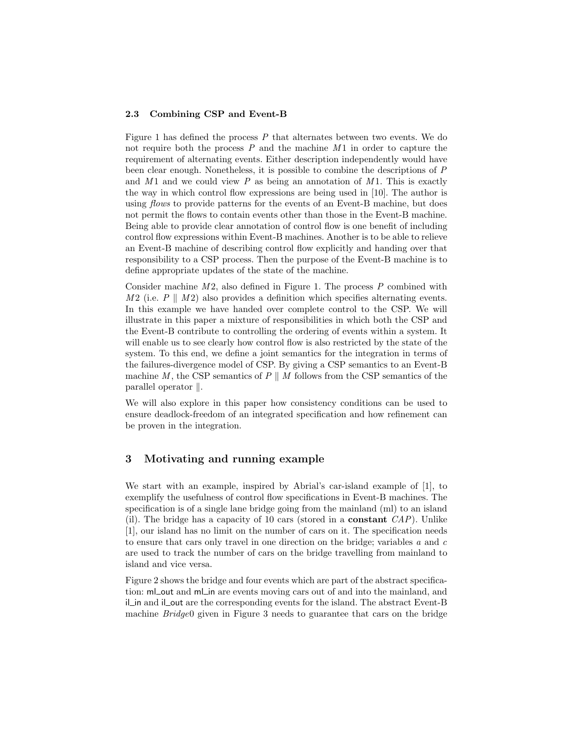#### 2.3 Combining CSP and Event-B

Figure 1 has defined the process  $P$  that alternates between two events. We do not require both the process  $P$  and the machine  $M1$  in order to capture the requirement of alternating events. Either description independently would have been clear enough. Nonetheless, it is possible to combine the descriptions of P and  $M_1$  and we could view P as being an annotation of  $M_1$ . This is exactly the way in which control flow expressions are being used in [10]. The author is using *flows* to provide patterns for the events of an Event-B machine, but does not permit the flows to contain events other than those in the Event-B machine. Being able to provide clear annotation of control flow is one benefit of including control flow expressions within Event-B machines. Another is to be able to relieve an Event-B machine of describing control flow explicitly and handing over that responsibility to a CSP process. Then the purpose of the Event-B machine is to define appropriate updates of the state of the machine.

Consider machine  $M2$ , also defined in Figure 1. The process P combined with  $M2$  (i.e.  $P \parallel M2$ ) also provides a definition which specifies alternating events. In this example we have handed over complete control to the CSP. We will illustrate in this paper a mixture of responsibilities in which both the CSP and the Event-B contribute to controlling the ordering of events within a system. It will enable us to see clearly how control flow is also restricted by the state of the system. To this end, we define a joint semantics for the integration in terms of the failures-divergence model of CSP. By giving a CSP semantics to an Event-B machine M, the CSP semantics of  $P \parallel M$  follows from the CSP semantics of the parallel operator  $\|$ .

We will also explore in this paper how consistency conditions can be used to ensure deadlock-freedom of an integrated specification and how refinement can be proven in the integration.

## 3 Motivating and running example

We start with an example, inspired by Abrial's car-island example of [1], to exemplify the usefulness of control flow specifications in Event-B machines. The specification is of a single lane bridge going from the mainland (ml) to an island (il). The bridge has a capacity of 10 cars (stored in a **constant**  $CAP$ ). Unlike [1], our island has no limit on the number of cars on it. The specification needs to ensure that cars only travel in one direction on the bridge; variables  $a$  and  $c$ are used to track the number of cars on the bridge travelling from mainland to island and vice versa.

Figure 2 shows the bridge and four events which are part of the abstract specification: m. out and m. in are events moving cars out of and into the mainland, and il in and il out are the corresponding events for the island. The abstract Event-B machine Bridge0 given in Figure 3 needs to guarantee that cars on the bridge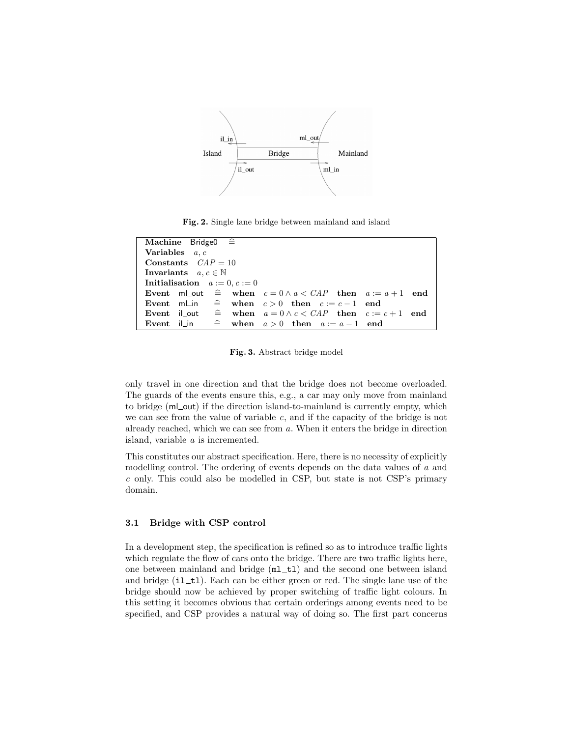

Fig. 2. Single lane bridge between mainland and island

| Machine Bridge0 $\widehat{\equiv}$      |                                                                          |  |
|-----------------------------------------|--------------------------------------------------------------------------|--|
| <b>Variables</b> $a, c$                 |                                                                          |  |
| Constants $CAP = 10$                    |                                                                          |  |
| <b>Invariants</b> $a, c \in \mathbb{N}$ |                                                                          |  |
| Initialisation $a := 0, c := 0$         |                                                                          |  |
|                                         | Event ml_out $\hat{=}$ when $c = 0 \wedge a < CAP$ then $a := a + 1$ end |  |
|                                         | Event m  _in $\hat{=}$ when $c > 0$ then $c := c - 1$ end                |  |
|                                         | Event il_out $\hat{=}$ when $a = 0 \wedge c < CAP$ then $c := c + 1$ end |  |
|                                         | Event il in $\hat{=}$ when $a > 0$ then $a := a - 1$ end                 |  |

Fig. 3. Abstract bridge model

only travel in one direction and that the bridge does not become overloaded. The guards of the events ensure this, e.g., a car may only move from mainland to bridge (ml\_out) if the direction island-to-mainland is currently empty, which we can see from the value of variable  $c$ , and if the capacity of the bridge is not already reached, which we can see from a. When it enters the bridge in direction island, variable a is incremented.

This constitutes our abstract specification. Here, there is no necessity of explicitly modelling control. The ordering of events depends on the data values of a and c only. This could also be modelled in CSP, but state is not CSP's primary domain.

### 3.1 Bridge with CSP control

In a development step, the specification is refined so as to introduce traffic lights which regulate the flow of cars onto the bridge. There are two traffic lights here, one between mainland and bridge  $(m_1_t)$  and the second one between island and bridge  $(i1_t, 1)$ . Each can be either green or red. The single lane use of the bridge should now be achieved by proper switching of traffic light colours. In this setting it becomes obvious that certain orderings among events need to be specified, and CSP provides a natural way of doing so. The first part concerns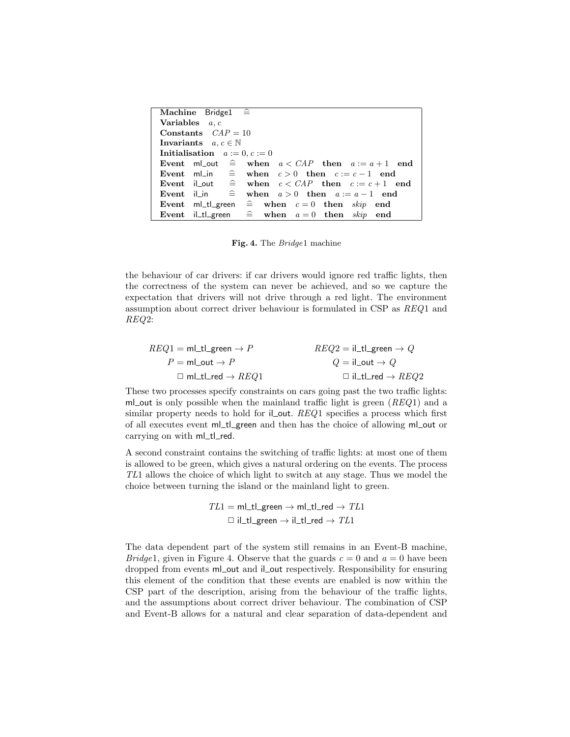| Machine Bridge1 $\widehat{=}$                               |
|-------------------------------------------------------------|
| Variables $a, c$                                            |
| Constants $CAP = 10$                                        |
| <b>Invariants</b> $a, c \in \mathbb{N}$                     |
| Initialisation $a := 0, c := 0$                             |
| Event m Lout $\hat{=}$ when $a < CAP$ then $a := a + 1$ end |
| Event m  _in $\hat{=}$ when $c > 0$ then $c := c - 1$ end   |
| Event il_out $\hat{=}$ when $c < CAP$ then $c := c + 1$ end |
| Event il_in $\hat{=}$ when $a > 0$ then $a := a - 1$ end    |
| Event ml_tl_green $\hat{=}$ when $c=0$ then skip end        |
| Event il_tl_green $\hat{=}$ when $a=0$ then skip end        |

Fig. 4. The *Bridge*1 machine

the behaviour of car drivers: if car drivers would ignore red traffic lights, then the correctness of the system can never be achieved, and so we capture the expectation that drivers will not drive through a red light. The environment assumption about correct driver behaviour is formulated in CSP as REQ1 and REQ2:

$$
\begin{array}{ccc}\nREQ1 = \mathsf{ml\_tl\_green} \rightarrow P & REQ2 = \mathsf{il\_tl\_green} \rightarrow Q \\
P = \mathsf{ml\_out} \rightarrow P & Q = \mathsf{il\_out} \rightarrow Q \\
\Box \mathsf{ml\_tl\_red} \rightarrow REQ1 & \Box \mathsf{il\_tl\_red} \rightarrow REQ2\n\end{array}
$$

These two processes specify constraints on cars going past the two traffic lights: ml\_out is only possible when the mainland traffic light is green  $(REG1)$  and a similar property needs to hold for il\_out.  $REQ1$  specifies a process which first of all executes event ml\_tl\_green and then has the choice of allowing ml\_out or carrying on with ml\_tl\_red.

A second constraint contains the switching of traffic lights: at most one of them is allowed to be green, which gives a natural ordering on the events. The process TL1 allows the choice of which light to switch at any stage. Thus we model the choice between turning the island or the mainland light to green.

$$
TL1 = \text{ml\_tl\_green} \rightarrow \text{ml\_tl\_red} \rightarrow TL1
$$

$$
\Box \text{ il\_tl\_green} \rightarrow \text{il\_tl\_red} \rightarrow TL1
$$

The data dependent part of the system still remains in an Event-B machine, *Bridge*1, given in Figure 4. Observe that the guards  $c = 0$  and  $a = 0$  have been dropped from events ml\_out and il\_out respectively. Responsibility for ensuring this element of the condition that these events are enabled is now within the CSP part of the description, arising from the behaviour of the traffic lights, and the assumptions about correct driver behaviour. The combination of CSP and Event-B allows for a natural and clear separation of data-dependent and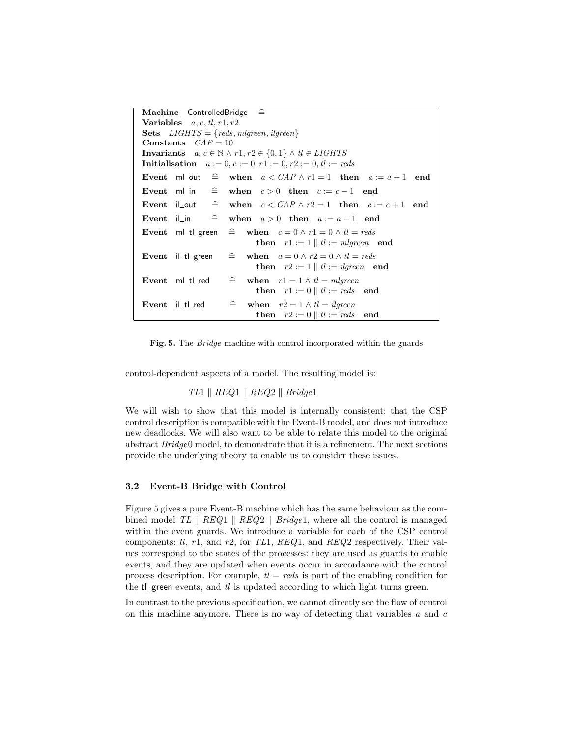```
Machine ControlledBridge \hat{=}Variables a, c, tl, r1, r2Sets LIGHTS = {reds, mlgreen, ilgreen}Constants CAP = 10Invariants a, c ∈ N ∧ r1, r2 ∈ {0, 1} ∧ tl ∈ LIGHTS
Initialisation a := 0, c := 0, r1 := 0, r2 := 0, tl := redsEvent m out \hat{=} when a < CAP \wedge r1 = 1 then a := a + 1 end
Event ml_in \hat{=} when c > 0 then c := c - 1 end
Event il_out \hat{=} when c < CAP \wedge r2 = 1 then c := c + 1 end
Event il in \hat{=} when a > 0 then a := a - 1 end
Event mLtLgreen \hat{=} when c = 0 \land r1 = 0 \land tl = redsthen r1 := 1 \parallel tl := mlgreen end
Event il_tl_green \hat{=} when a = 0 \land r2 = 0 \land tl = redsthen r2 := 1 \parallel tl := \text{ilgreen} end
Event mLtLred \hat{=} when r1 = 1 \land tl = mlgreenthen r1 := 0 \parallel tl := reds end
Event il_tl_red \hat{=} when r2 = 1 \wedge tl = ilgreenthen r2 := 0 \parallel tl := reds end
```
Fig. 5. The *Bridge* machine with control incorporated within the guards

control-dependent aspects of a model. The resulting model is:

 $TL1 \parallel REQ1 \parallel REQ2 \parallel Bridge1$ 

We will wish to show that this model is internally consistent: that the CSP control description is compatible with the Event-B model, and does not introduce new deadlocks. We will also want to be able to relate this model to the original abstract Bridge0 model, to demonstrate that it is a refinement. The next sections provide the underlying theory to enable us to consider these issues.

### 3.2 Event-B Bridge with Control

Figure 5 gives a pure Event-B machine which has the same behaviour as the combined model TL || REQ1 || REQ2 || Bridge1, where all the control is managed within the event guards. We introduce a variable for each of the CSP control components:  $tl$ ,  $r1$ , and  $r2$ , for TL1,  $REQ1$ , and  $REQ2$  respectively. Their values correspond to the states of the processes: they are used as guards to enable events, and they are updated when events occur in accordance with the control process description. For example,  $tl = reds$  is part of the enabling condition for the  $t$  green events, and  $tl$  is updated according to which light turns green.

In contrast to the previous specification, we cannot directly see the flow of control on this machine anymore. There is no way of detecting that variables  $a$  and  $c$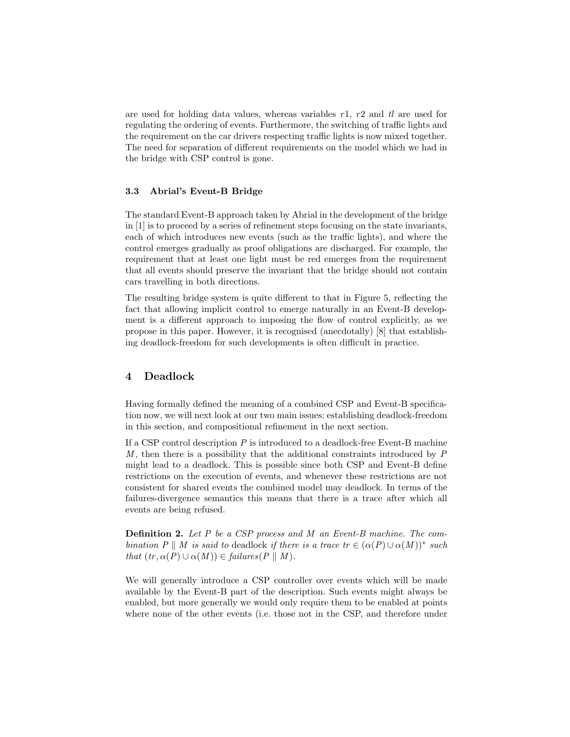are used for holding data values, whereas variables  $r1$ ,  $r2$  and tl are used for regulating the ordering of events. Furthermore, the switching of traffic lights and the requirement on the car drivers respecting traffic lights is now mixed together. The need for separation of different requirements on the model which we had in the bridge with CSP control is gone.

#### 3.3 Abrial's Event-B Bridge

The standard Event-B approach taken by Abrial in the development of the bridge in [1] is to proceed by a series of refinement steps focusing on the state invariants, each of which introduces new events (such as the traffic lights), and where the control emerges gradually as proof obligations are discharged. For example, the requirement that at least one light must be red emerges from the requirement that all events should preserve the invariant that the bridge should not contain cars travelling in both directions.

The resulting bridge system is quite different to that in Figure 5, reflecting the fact that allowing implicit control to emerge naturally in an Event-B development is a different approach to imposing the flow of control explicitly, as we propose in this paper. However, it is recognised (anecdotally) [8] that establishing deadlock-freedom for such developments is often difficult in practice.

# 4 Deadlock

Having formally defined the meaning of a combined CSP and Event-B specification now, we will next look at our two main issues: establishing deadlock-freedom in this section, and compositional refinement in the next section.

If a CSP control description  $P$  is introduced to a deadlock-free Event-B machine  $M$ , then there is a possibility that the additional constraints introduced by  $P$ might lead to a deadlock. This is possible since both CSP and Event-B define restrictions on the execution of events, and whenever these restrictions are not consistent for shared events the combined model may deadlock. In terms of the failures-divergence semantics this means that there is a trace after which all events are being refused.

Definition 2. Let P be a CSP process and M an Event-B machine. The combination P || M is said to deadlock if there is a trace  $tr \in (\alpha(P) \cup \alpha(M))^*$  such that  $(tr, \alpha(P) \cup \alpha(M)) \in failures(P \parallel M)$ .

We will generally introduce a CSP controller over events which will be made available by the Event-B part of the description. Such events might always be enabled, but more generally we would only require them to be enabled at points where none of the other events (i.e. those not in the CSP, and therefore under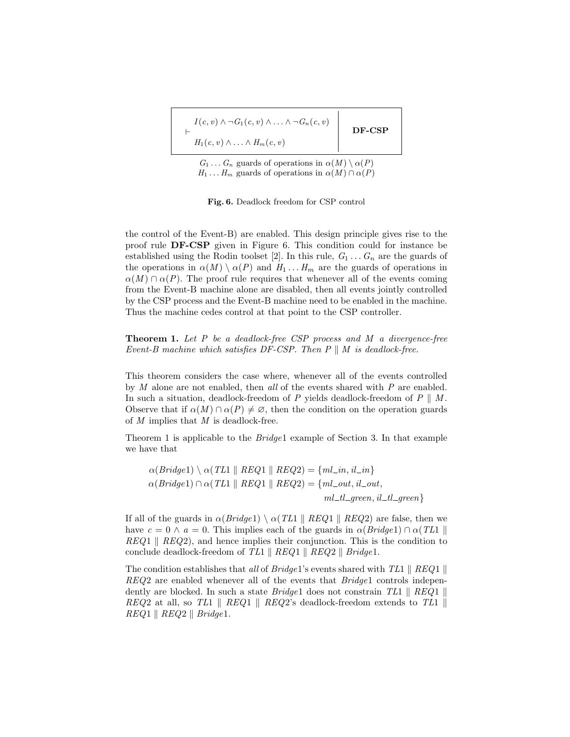| $I(c, v) \wedge \neg G_1(c, v) \wedge \ldots \wedge \neg G_n(c, v)$ | $DF-CSP$ |  |
|---------------------------------------------------------------------|----------|--|
| $H_1(c, v) \wedge \ldots \wedge H_m(c, v)$                          |          |  |

 $G_1 \ldots G_n$  guards of operations in  $\alpha(M) \setminus \alpha(P)$  $H_1 \ldots H_m$  guards of operations in  $\alpha(M) \cap \alpha(P)$ 

Fig. 6. Deadlock freedom for CSP control

the control of the Event-B) are enabled. This design principle gives rise to the proof rule DF-CSP given in Figure 6. This condition could for instance be established using the Rodin toolset [2]. In this rule,  $G_1 \ldots G_n$  are the guards of the operations in  $\alpha(M) \setminus \alpha(P)$  and  $H_1 \dots H_m$  are the guards of operations in  $\alpha(M) \cap \alpha(P)$ . The proof rule requires that whenever all of the events coming from the Event-B machine alone are disabled, then all events jointly controlled by the CSP process and the Event-B machine need to be enabled in the machine. Thus the machine cedes control at that point to the CSP controller.

**Theorem 1.** Let  $P$  be a deadlock-free CSP process and  $M$  a divergence-free Event-B machine which satisfies DF-CSP. Then  $P \parallel M$  is deadlock-free.

This theorem considers the case where, whenever all of the events controlled by  $M$  alone are not enabled, then all of the events shared with  $P$  are enabled. In such a situation, deadlock-freedom of P yields deadlock-freedom of  $P \parallel M$ . Observe that if  $\alpha(M) \cap \alpha(P) \neq \emptyset$ , then the condition on the operation guards of M implies that M is deadlock-free.

Theorem 1 is applicable to the Bridge1 example of Section 3. In that example we have that

 $\alpha(Bridge1) \setminus \alpha(TL1 \parallel REQ1 \parallel REQ2) = \{ml\_in, il\_in\}$  $\alpha(Bridge1) \cap \alpha(TL1 \parallel REQ1 \parallel REQ2) = \{ml\_out, il\_out,$  $ml\_tl\_green$ ,  $il\_tl\_green$ 

If all of the guards in  $\alpha(Bridge1) \setminus \alpha(TL1 \parallel REQ1 \parallel REQ2)$  are false, then we have  $c = 0 \land a = 0$ . This implies each of the guards in  $\alpha(Bridge1) \cap \alpha(TL1)$  $REQ1 \parallel REQ2$ , and hence implies their conjunction. This is the condition to conclude deadlock-freedom of TL1 ||  $REQ1$  ||  $REQ2$  ||  $Bridge1$ .

The condition establishes that all of Bridge1's events shared with TL1 || REQ1 || REQ2 are enabled whenever all of the events that Bridge1 controls independently are blocked. In such a state  $Bridge1$  does not constrain  $TL1 \parallel REG1 \parallel$  $REQ2$  at all, so TL1 ||  $REQ1$  ||  $REQ2$ 's deadlock-freedom extends to TL1 ||  $REQ1 \parallel REQ2 \parallel Bridge1.$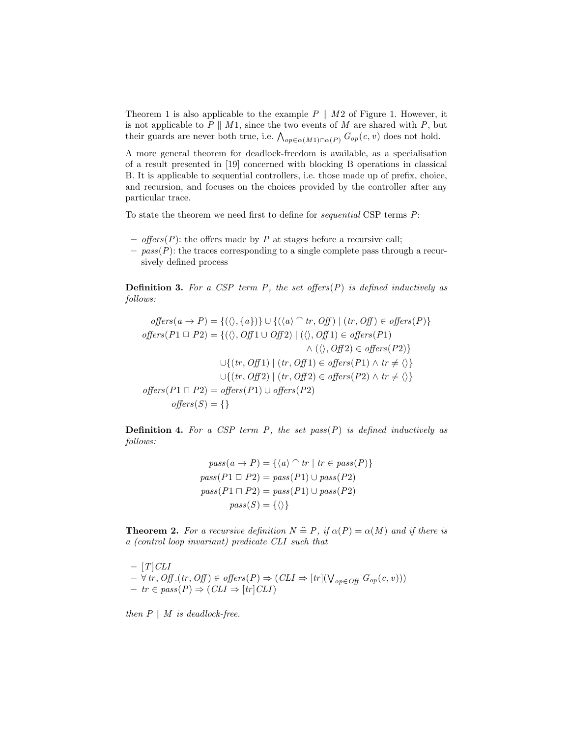Theorem 1 is also applicable to the example  $P \parallel M2$  of Figure 1. However, it is not applicable to  $P \parallel M1$ , since the two events of M are shared with P, but their guards are never both true, i.e.  $\bigwedge_{op \in \alpha(M)} \bigcap_{\alpha(P)} G_{op}(c, v)$  does not hold.

A more general theorem for deadlock-freedom is available, as a specialisation of a result presented in [19] concerned with blocking B operations in classical B. It is applicable to sequential controllers, i.e. those made up of prefix, choice, and recursion, and focuses on the choices provided by the controller after any particular trace.

To state the theorem we need first to define for *sequential* CSP terms  $P$ :

- *offers* $(P)$ : the offers made by P at stages before a recursive call;
- $pass(P)$ : the traces corresponding to a single complete pass through a recursively defined process

**Definition 3.** For a CSP term P, the set offers $(P)$  is defined inductively as follows:

$$
offers(a \rightarrow P) = \{(\langle \rangle, \{a\})\} \cup \{(\langle a \rangle \cap tr, Off) \mid (tr, Off) \in offers(P)\}
$$
  
\n
$$
offers(P1 \Box P2) = \{(\langle \rangle, Off1 \cup Off2) \mid (\langle \rangle, Off1) \in offers(P1)
$$
  
\n
$$
\wedge (\langle \rangle, Off2) \in offers(P2)\}
$$
  
\n
$$
\cup \{(tr, Off1) \mid (tr, Off1) \in offers(P1) \land tr \neq \langle \rangle\}
$$
  
\n
$$
\wedge \{(\langle r, Off2) \in offers(P1) \land tr \neq \langle \rangle\}
$$
  
\n
$$
offers(P1 \sqcap P2) = offers(P1) \cup offers(P2)
$$
  
\n
$$
offers(S) = \{\}
$$

**Definition 4.** For a CSP term P, the set pass $(P)$  is defined inductively as follows:

$$
pass(a \rightarrow P) = \{ \langle a \rangle \cap tr \mid tr \in pass(P) \}
$$

$$
pass(P1 \sqcup P2) = pass(P1) \cup pass(P2)
$$

$$
pass(P1 \sqcap P2) = pass(P1) \cup pass(P2)
$$

$$
pass(S) = \{ \langle \rangle \}
$$

**Theorem 2.** For a recursive definition  $N \nightharpoonup P$ , if  $\alpha(P) = \alpha(M)$  and if there is a (control loop invariant) predicate CLI such that

 $-$  [T]CLI  $-\forall \text{tr}, \text{Off.}(tr, \text{Off}) \in \text{offers}(P) \Rightarrow (CLI \Rightarrow [tr](\bigvee_{op \in \text{Off}} G_{op}(c, v)))$  $- tr \in pass(P) \Rightarrow (CLI \Rightarrow [tr] CLI)$ 

then  $P \parallel M$  is deadlock-free.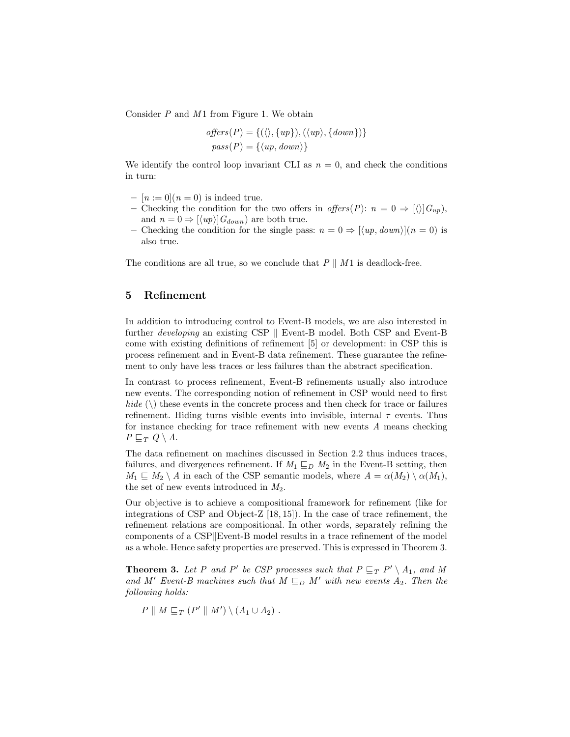Consider  $P$  and  $M1$  from Figure 1. We obtain

$$
offset(P) = \{ (\langle \rangle, \{up\}), (\langle up \rangle, \{down\}) \}
$$

$$
pass(P) = \{ \langle up, down \rangle \}
$$

We identify the control loop invariant CLI as  $n = 0$ , and check the conditions in turn:

- $-[n := 0](n = 0)$  is indeed true.
- Checking the condition for the two offers in offers $(P)$ :  $n = 0 \Rightarrow [\langle \rangle] G_{up}$ , and  $n = 0 \Rightarrow [\langle up \rangle] G_{down}$  are both true.
- Checking the condition for the single pass:  $n = 0 \Rightarrow [\langle up, down \rangle](n = 0)$  is also true.

The conditions are all true, so we conclude that  $P \parallel M1$  is deadlock-free.

# 5 Refinement

In addition to introducing control to Event-B models, we are also interested in further *developing* an existing CSP  $\parallel$  Event-B model. Both CSP and Event-B come with existing definitions of refinement [5] or development: in CSP this is process refinement and in Event-B data refinement. These guarantee the refinement to only have less traces or less failures than the abstract specification.

In contrast to process refinement, Event-B refinements usually also introduce new events. The corresponding notion of refinement in CSP would need to first hide  $(\rangle)$  these events in the concrete process and then check for trace or failures refinement. Hiding turns visible events into invisible, internal  $\tau$  events. Thus for instance checking for trace refinement with new events A means checking  $P \sqsubseteq_T Q \setminus A$ .

The data refinement on machines discussed in Section 2.2 thus induces traces, failures, and divergences refinement. If  $M_1 \sqsubseteq_D M_2$  in the Event-B setting, then  $M_1 \subseteq M_2 \setminus A$  in each of the CSP semantic models, where  $A = \alpha(M_2) \setminus \alpha(M_1)$ , the set of new events introduced in  $M_2$ .

Our objective is to achieve a compositional framework for refinement (like for integrations of CSP and Object-Z [18, 15]). In the case of trace refinement, the refinement relations are compositional. In other words, separately refining the components of a  $CSP||Event-B$  model results in a trace refinement of the model as a whole. Hence safety properties are preserved. This is expressed in Theorem 3.

**Theorem 3.** Let P and P' be CSP processes such that  $P \sqsubseteq_T P' \setminus A_1$ , and M and M' Event-B machines such that  $M \sqsubseteq_D M'$  with new events  $A_2$ . Then the following holds:

 $P \parallel M \sqsubseteq_T (P' \parallel M') \setminus (A_1 \cup A_2)$ .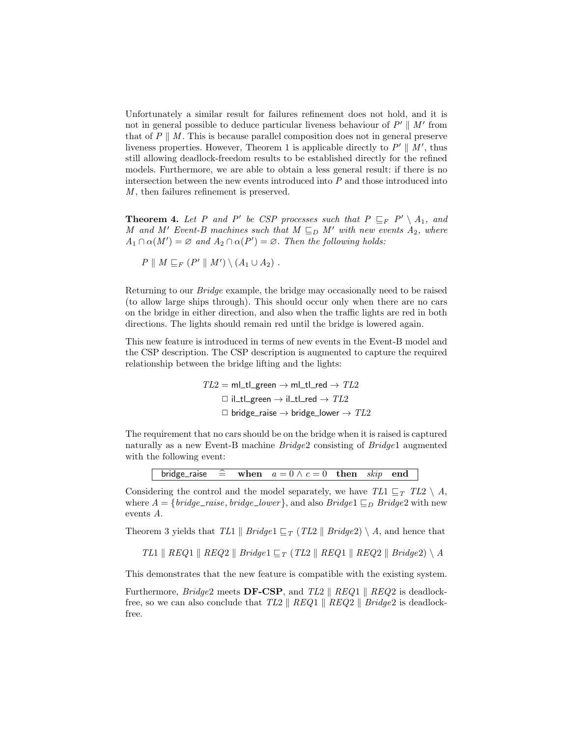Unfortunately a similar result for failures refinement does not hold, and it is not in general possible to deduce particular liveness behaviour of  $P' \parallel M'$  from that of  $P \parallel M$ . This is because parallel composition does not in general preserve liveness properties. However, Theorem 1 is applicable directly to  $P' \parallel M'$ , thus still allowing deadlock-freedom results to be established directly for the refined models. Furthermore, we are able to obtain a less general result: if there is no intersection between the new events introduced into  $P$  and those introduced into  $M$ , then failures refinement is preserved.

**Theorem 4.** Let P and P' be CSP processes such that  $P \subseteq_F P' \setminus A_1$ , and M and M' Event-B machines such that  $M \sqsubseteq_D M'$  with new events  $A_2$ , where  $A_1 \cap \alpha(M') = \varnothing$  and  $A_2 \cap \alpha(P') = \varnothing$ . Then the following holds:

 $P \parallel M \sqsubseteq_F (P' \parallel M') \setminus (A_1 \cup A_2)$ .

Returning to our Bridge example, the bridge may occasionally need to be raised (to allow large ships through). This should occur only when there are no cars on the bridge in either direction, and also when the traffic lights are red in both directions. The lights should remain red until the bridge is lowered again.

This new feature is introduced in terms of new events in the Event-B model and the CSP description. The CSP description is augmented to capture the required relationship between the bridge lifting and the lights:

$$
TL2 = \text{ml\_tl\_green} \rightarrow \text{ml\_tl\_red} \rightarrow TL2
$$
\n
$$
\Box \text{ il\_tl\_green} \rightarrow \text{il\_tl\_red} \rightarrow TL2
$$
\n
$$
\Box \text{ bridge\_raise} \rightarrow \text{bridge\_lower} \rightarrow TL2
$$

The requirement that no cars should be on the bridge when it is raised is captured naturally as a new Event-B machine Bridge2 consisting of Bridge1 augmented with the following event:

|  | bridge_raise $\hat{=}$ when $a = 0 \wedge c = 0$ then skip end |  |  |
|--|----------------------------------------------------------------|--|--|
|  |                                                                |  |  |

Considering the control and the model separately, we have  $TL1 \subseteq_T TL2 \setminus A$ , where  $A = \{bridge\_raise, bridge\_lower\}$ , and also  $Bridge1 \sqsubseteq_D Bridge2$  with new events A.

Theorem 3 yields that TL1 || Bridge1  $\sqsubseteq_T$  (TL2 || Bridge2) \ A, and hence that

TL1 || REQ1 || REQ2 || Bridge1  $\sqsubseteq_T$  (TL2 || REQ1 || REQ2 || Bridge2) \ A

This demonstrates that the new feature is compatible with the existing system.

Furthermore,  $Bridge2$  meets DF-CSP, and  $TL2 \parallel REQ1 \parallel REQ2$  is deadlockfree, so we can also conclude that  $TL2 \parallel REQ1 \parallel REQ2 \parallel Bridge2$  is deadlockfree.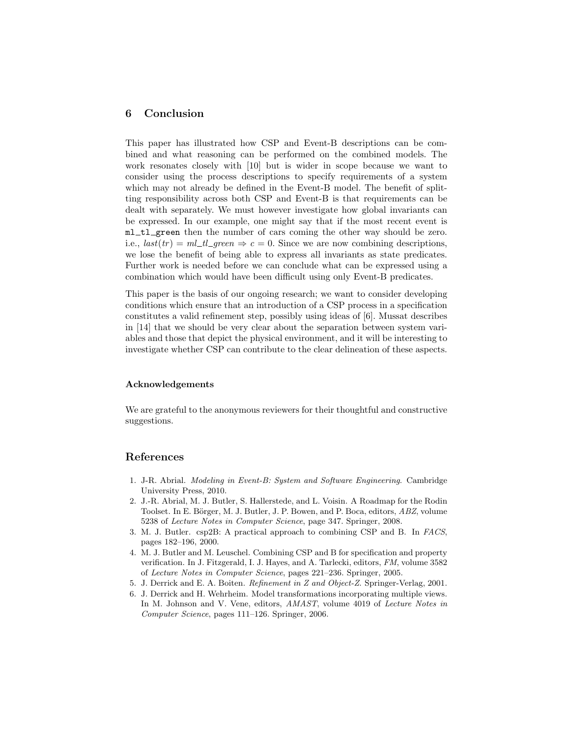# 6 Conclusion

This paper has illustrated how CSP and Event-B descriptions can be combined and what reasoning can be performed on the combined models. The work resonates closely with [10] but is wider in scope because we want to consider using the process descriptions to specify requirements of a system which may not already be defined in the Event-B model. The benefit of splitting responsibility across both CSP and Event-B is that requirements can be dealt with separately. We must however investigate how global invariants can be expressed. In our example, one might say that if the most recent event is ml tl green then the number of cars coming the other way should be zero. i.e.,  $last(tr) = ml\_tl\_green \Rightarrow c = 0$ . Since we are now combining descriptions, we lose the benefit of being able to express all invariants as state predicates. Further work is needed before we can conclude what can be expressed using a combination which would have been difficult using only Event-B predicates.

This paper is the basis of our ongoing research; we want to consider developing conditions which ensure that an introduction of a CSP process in a specification constitutes a valid refinement step, possibly using ideas of [6]. Mussat describes in [14] that we should be very clear about the separation between system variables and those that depict the physical environment, and it will be interesting to investigate whether CSP can contribute to the clear delineation of these aspects.

#### Acknowledgements

We are grateful to the anonymous reviewers for their thoughtful and constructive suggestions.

# References

- 1. J-R. Abrial. *Modeling in Event-B: System and Software Engineering*. Cambridge University Press, 2010.
- 2. J.-R. Abrial, M. J. Butler, S. Hallerstede, and L. Voisin. A Roadmap for the Rodin Toolset. In E. Börger, M. J. Butler, J. P. Bowen, and P. Boca, editors, *ABZ*, volume 5238 of *Lecture Notes in Computer Science*, page 347. Springer, 2008.
- 3. M. J. Butler. csp2B: A practical approach to combining CSP and B. In *FACS*, pages 182–196, 2000.
- 4. M. J. Butler and M. Leuschel. Combining CSP and B for specification and property verification. In J. Fitzgerald, I. J. Hayes, and A. Tarlecki, editors, *FM*, volume 3582 of *Lecture Notes in Computer Science*, pages 221–236. Springer, 2005.
- 5. J. Derrick and E. A. Boiten. *Refinement in Z and Object-Z*. Springer-Verlag, 2001.
- 6. J. Derrick and H. Wehrheim. Model transformations incorporating multiple views. In M. Johnson and V. Vene, editors, *AMAST*, volume 4019 of *Lecture Notes in Computer Science*, pages 111–126. Springer, 2006.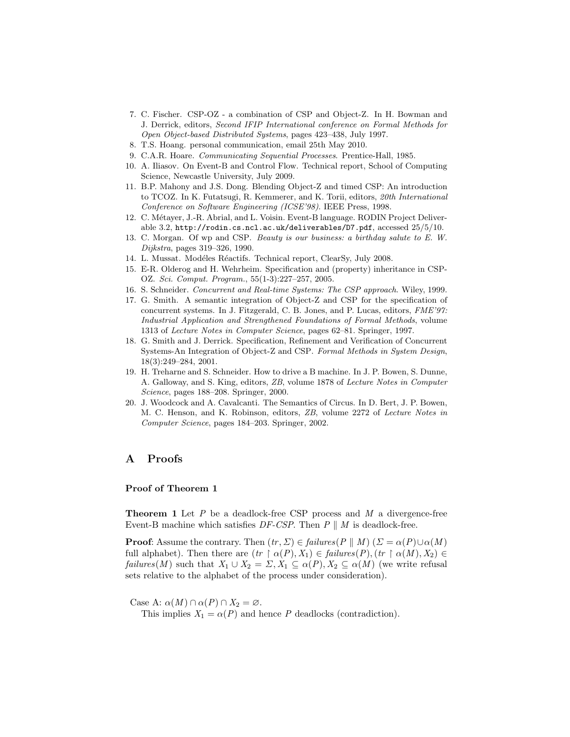- 7. C. Fischer. CSP-OZ a combination of CSP and Object-Z. In H. Bowman and J. Derrick, editors, *Second IFIP International conference on Formal Methods for Open Object-based Distributed Systems*, pages 423–438, July 1997.
- 8. T.S. Hoang. personal communication, email 25th May 2010.
- 9. C.A.R. Hoare. *Communicating Sequential Processes*. Prentice-Hall, 1985.
- 10. A. Iliasov. On Event-B and Control Flow. Technical report, School of Computing Science, Newcastle University, July 2009.
- 11. B.P. Mahony and J.S. Dong. Blending Object-Z and timed CSP: An introduction to TCOZ. In K. Futatsugi, R. Kemmerer, and K. Torii, editors, *20th International Conference on Software Engineering (ICSE'98)*. IEEE Press, 1998.
- 12. C. M´etayer, J.-R. Abrial, and L. Voisin. Event-B language. RODIN Project Deliverable 3.2, http://rodin.cs.ncl.ac.uk/deliverables/D7.pdf, accessed 25/5/10.
- 13. C. Morgan. Of wp and CSP. *Beauty is our business: a birthday salute to E. W. Dijkstra*, pages 319–326, 1990.
- 14. L. Mussat. Modéles Réactifs. Technical report, ClearSy, July 2008.
- 15. E-R. Olderog and H. Wehrheim. Specification and (property) inheritance in CSP-OZ. *Sci. Comput. Program.*, 55(1-3):227–257, 2005.
- 16. S. Schneider. *Concurrent and Real-time Systems: The CSP approach*. Wiley, 1999.
- 17. G. Smith. A semantic integration of Object-Z and CSP for the specification of concurrent systems. In J. Fitzgerald, C. B. Jones, and P. Lucas, editors, *FME'97: Industrial Application and Strengthened Foundations of Formal Methods*, volume 1313 of *Lecture Notes in Computer Science*, pages 62–81. Springer, 1997.
- 18. G. Smith and J. Derrick. Specification, Refinement and Verification of Concurrent Systems-An Integration of Object-Z and CSP. *Formal Methods in System Design*, 18(3):249–284, 2001.
- 19. H. Treharne and S. Schneider. How to drive a B machine. In J. P. Bowen, S. Dunne, A. Galloway, and S. King, editors, *ZB*, volume 1878 of *Lecture Notes in Computer Science*, pages 188–208. Springer, 2000.
- 20. J. Woodcock and A. Cavalcanti. The Semantics of Circus. In D. Bert, J. P. Bowen, M. C. Henson, and K. Robinson, editors, *ZB*, volume 2272 of *Lecture Notes in Computer Science*, pages 184–203. Springer, 2002.

# A Proofs

#### Proof of Theorem 1

**Theorem 1** Let  $P$  be a deadlock-free CSP process and  $M$  a divergence-free Event-B machine which satisfies  $DF\text{-}CSP$ . Then P || M is deadlock-free.

**Proof:** Assume the contrary. Then  $(tr, \Sigma) \in failures(P \parallel M)$   $(\Sigma = \alpha(P) \cup \alpha(M)$ full alphabet). Then there are  $(tr \restriction \alpha(P), X_1) \in failures(P), (tr \restriction \alpha(M), X_2) \in$ failures(M) such that  $X_1 \cup X_2 = \Sigma, X_1 \subseteq \alpha(P), X_2 \subseteq \alpha(M)$  (we write refusal sets relative to the alphabet of the process under consideration).

Case A:  $\alpha(M) \cap \alpha(P) \cap X_2 = \emptyset$ .

This implies  $X_1 = \alpha(P)$  and hence P deadlocks (contradiction).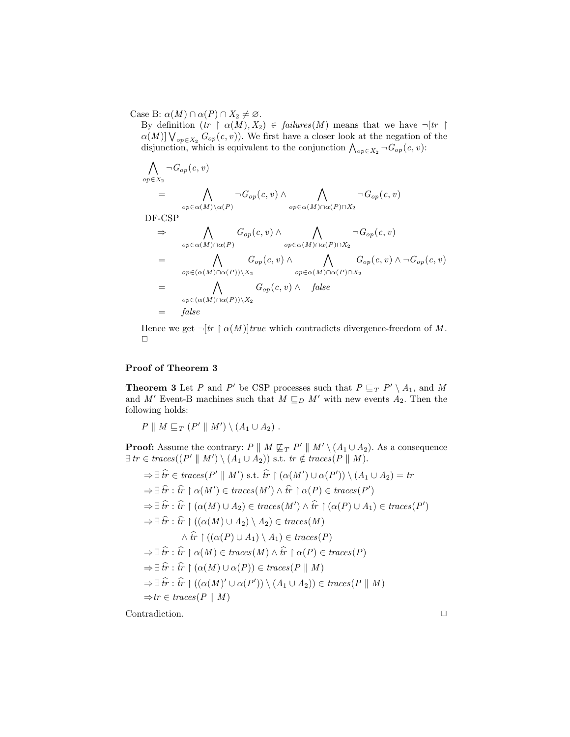Case B:  $\alpha(M) \cap \alpha(P) \cap X_2 \neq \emptyset$ .

By definition  $(tr \restriction \alpha(M), X_2) \in failures(M)$  means that we have  $\neg [tr \restriction$  $\alpha(M)$   $\bigvee_{op\in X_2} G_{op}(c, v)$ . We first have a closer look at the negation of the disjunction, which is equivalent to the conjunction  $\bigwedge_{op \in X_2} \neg G_{op}(c, v)$ :

$$
\begin{aligned}\n&\bigwedge_{op \in X_2} \neg G_{op}(c, v) \\
&= \bigwedge_{op \in \alpha(M) \setminus \alpha(P)} \neg G_{op}(c, v) \land \bigwedge_{op \in \alpha(M) \cap \alpha(P) \cap X_2} \neg G_{op}(c, v) \\
\text{DF-CSP} \\
&\Rightarrow \bigwedge_{op \in \alpha(M) \cap \alpha(P)} G_{op}(c, v) \land \bigwedge_{op \in \alpha(M) \cap \alpha(P) \cap X_2} \neg G_{op}(c, v) \\
&= \bigwedge_{op \in (\alpha(M) \cap \alpha(P)) \setminus X_2} G_{op}(c, v) \land \bigwedge_{op \in \alpha(M) \cap \alpha(P) \cap X_2} G_{op}(c, v) \land \neg G_{op}(c, v) \\
&= \bigwedge_{op \in (\alpha(M) \cap \alpha(P)) \setminus X_2} G_{op}(c, v) \land \text{ false} \\
&= \text{false}\n\end{aligned}
$$

Hence we get  $\neg [tr \restriction \alpha(M)]$ true which contradicts divergence-freedom of M.  $\Box$ 

# Proof of Theorem 3

**Theorem 3** Let P and P' be CSP processes such that  $P \sqsubseteq_T P' \setminus A_1$ , and M and M' Event-B machines such that  $M \sqsubseteq_D M'$  with new events  $A_2$ . Then the following holds:

 $P \parallel M \sqsubseteq_T (P' \parallel M') \setminus (A_1 \cup A_2)$ .

**Proof:** Assume the contrary:  $P \parallel M \not\sqsubseteq_T P' \parallel M' \setminus (A_1 \cup A_2)$ . As a consequence  $\exists \text{ tr } \in \text{traces}((P' \parallel M') \setminus (A_1 \cup A_2)) \text{ s.t. } \text{tr } \notin \text{traces}(P \parallel M).$ 

$$
\Rightarrow \exists \widehat{tr} \in traces(P' \parallel M') \text{ s.t. } \widehat{tr} \upharpoonright (\alpha(M') \cup \alpha(P')) \setminus (A_1 \cup A_2) = tr
$$
  
\n
$$
\Rightarrow \exists \widehat{tr} : \widehat{tr} \upharpoonright \alpha(M') \in traces(M') \land \widehat{tr} \upharpoonright \alpha(P) \in traces(P')
$$
  
\n
$$
\Rightarrow \exists \widehat{tr} : \widehat{tr} \upharpoonright (\alpha(M) \cup A_2) \in traces(M') \land \widehat{tr} \upharpoonright (\alpha(P) \cup A_1) \in traces(P')
$$
  
\n
$$
\Rightarrow \exists \widehat{tr} : \widehat{tr} \upharpoonright ((\alpha(M) \cup A_2) \setminus A_2) \in traces(M)
$$
  
\n
$$
\land \widehat{tr} \upharpoonright ((\alpha(P) \cup A_1) \setminus A_1) \in traces(P)
$$
  
\n
$$
\Rightarrow \exists \widehat{tr} : \widehat{tr} \upharpoonright \alpha(M) \in traces(M) \land \widehat{tr} \upharpoonright \alpha(P) \in traces(P)
$$
  
\n
$$
\Rightarrow \exists \widehat{tr} : \widehat{tr} \upharpoonright (\alpha(M) \cup \alpha(P)) \in traces(P \parallel M)
$$
  
\n
$$
\Rightarrow \exists \widehat{tr} : \widehat{tr} \upharpoonright ((\alpha(M)' \cup \alpha(P'))) \setminus (A_1 \cup A_2)) \in traces(P \parallel M)
$$
  
\n
$$
\Rightarrow tr \in traces(P \parallel M)
$$

Contradiction.  $\hfill \Box$